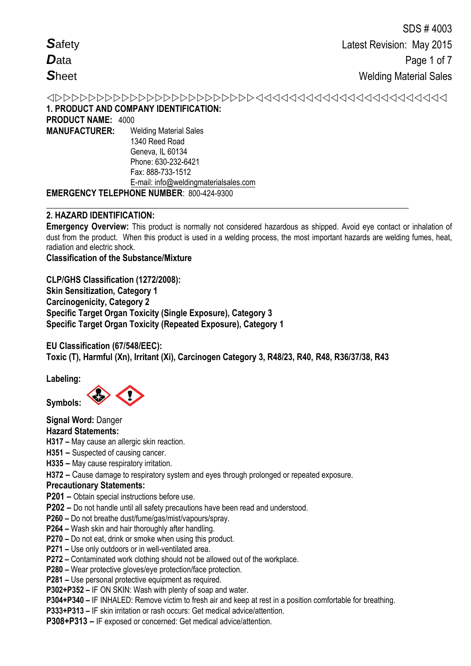*S*afety *D*ata *S*heet

 **1. PRODUCT AND COMPANY IDENTIFICATION: PRODUCT NAME:** 4000 **MANUFACTURER:** Welding Material Sales 1340 Reed Road

Geneva, IL 60134 Phone: 630-232-6421 Fax: 888-733-1512 E-mail: info@weldingmaterialsales.com

# **EMERGENCY TELEPHONE NUMBER**: 800-424-9300

# **2. HAZARD IDENTIFICATION:**

**Emergency Overview:** This product is normally not considered hazardous as shipped. Avoid eye contact or inhalation of dust from the product. When this product is used in a welding process, the most important hazards are welding fumes, heat, radiation and electric shock.

**\_\_\_\_\_\_\_\_\_\_\_\_\_\_\_\_\_\_\_\_\_\_\_\_\_\_\_\_\_\_\_\_\_\_\_\_\_\_\_\_\_\_\_\_\_\_\_\_\_\_\_\_\_\_\_\_\_\_\_\_\_\_\_\_\_\_\_\_\_\_\_\_\_\_\_\_\_\_\_\_\_\_\_**

# **Classification of the Substance/Mixture**

**CLP/GHS Classification (1272/2008): Skin Sensitization, Category 1 Carcinogenicity, Category 2 Specific Target Organ Toxicity (Single Exposure), Category 3 Specific Target Organ Toxicity (Repeated Exposure), Category 1** 

**EU Classification (67/548/EEC): Toxic (T), Harmful (Xn), Irritant (Xi), Carcinogen Category 3, R48/23, R40, R48, R36/37/38, R43** 

**Labeling:** 

**Symbols:** 

**Signal Word:** Danger

## **Hazard Statements:**

**H317 –** May cause an allergic skin reaction.

**H351 –** Suspected of causing cancer.

- **H335 –** May cause respiratory irritation.
- **H372 –** Cause damage to respiratory system and eyes through prolonged or repeated exposure.

## **Precautionary Statements:**

**P201 –** Obtain special instructions before use.

- **P202 –** Do not handle until all safety precautions have been read and understood.
- **P260 –** Do not breathe dust/fume/gas/mist/vapours/spray.
- **P264 –** Wash skin and hair thoroughly after handling.
- **P270 –** Do not eat, drink or smoke when using this product.
- **P271 –** Use only outdoors or in well-ventilated area.
- **P272 –** Contaminated work clothing should not be allowed out of the workplace.
- **P280 –** Wear protective gloves/eye protection/face protection.

**P281 –** Use personal protective equipment as required.

**P302+P352 –** IF ON SKIN: Wash with plenty of soap and water.

**P304+P340 –** IF INHALED: Remove victim to fresh air and keep at rest in a position comfortable for breathing.

**P333+P313 –** IF skin irritation or rash occurs: Get medical advice/attention.

**P308+P313 –** IF exposed or concerned: Get medical advice/attention.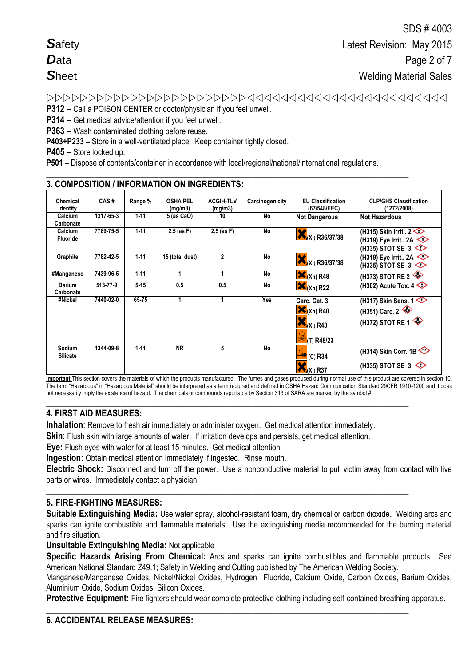| <b>Safety</b> |  |
|---------------|--|
| Data          |  |
| <b>Sheet</b>  |  |

**P312 –** Call a POISON CENTER or doctor/physician if you feel unwell.

**P314 –** Get medical advice/attention if you feel unwell.

**P363 –** Wash contaminated clothing before reuse.

**P403+P233 –** Store in a well-ventilated place. Keep container tightly closed.

**P405 –** Store locked up.

**P501 –** Dispose of contents/container in accordance with local/regional/national/international regulations.

**\_\_\_\_\_\_\_\_\_\_\_\_\_\_\_\_\_\_\_\_\_\_\_\_\_\_\_\_\_\_\_\_\_\_\_\_\_\_\_\_\_\_\_\_\_\_\_\_\_\_\_\_\_\_\_\_\_\_\_\_\_\_\_\_\_\_\_\_\_\_\_\_\_\_\_\_\_\_\_\_\_\_\_**

|                             |           |          | 3. COMPOSITION / INFORMATION ON INGREDIENTS: |                             |                 |                                                                      |                                                                                  |
|-----------------------------|-----------|----------|----------------------------------------------|-----------------------------|-----------------|----------------------------------------------------------------------|----------------------------------------------------------------------------------|
| Chemical<br><b>Identity</b> | CAS#      | Range %  | <b>OSHA PEL</b><br>(mg/m3)                   | <b>ACGIH-TLV</b><br>(mg/m3) | Carcinogenicity | <b>EU Classification</b><br>(67/548/EEC)                             | <b>CLP/GHS Classification</b><br>(1272/2008)                                     |
| Calcium<br>Carbonate        | 1317-65-3 | $1 - 11$ | 5 (as CaO)                                   | 10                          | <b>No</b>       | <b>Not Dangerous</b>                                                 | <b>Not Hazardous</b>                                                             |
| Calcium<br><b>Fluoride</b>  | 7789-75-5 | $1 - 11$ | $2.5$ (as F)                                 | $2.5$ (as F)                | No              | $X(xi)$ R36/37/38                                                    | (H315) Skin Irrit $2 \leq 1$<br>(H319) Eye Irrit 2A<br>(H335) STOT SE $3 \leq 5$ |
| Graphite                    | 7782-42-5 | $1 - 11$ | 15 (total dust)                              | $\mathbf{2}$                | <b>No</b>       | $\mathbf{X}$ <sub>(Xi)</sub> R36/37/38                               | (H319) Eye Irrit 2A<br>(H335) STOT SE $3 \leq 5$                                 |
| #Manganese                  | 7439-96-5 | $1 - 11$ | 1                                            | 1                           | No              | $\mathbf{X}_{(Xn)R48}$                                               | $(H373)$ STOT RE 2                                                               |
| <b>Barium</b><br>Carbonate  | 513-77-9  | $5-15$   | 0.5                                          | 0.5                         | No              | $\mathsf{X}_{(Xn)}$ R22                                              | (H302) Acute Tox. $4 \leq 2$                                                     |
| #Nickel                     | 7440-02-0 | 65-75    |                                              | 1                           | Yes             | Carc. Cat. 3<br>$X_{(Xn)R40}$<br>$\bigotimes$ (Xi) R43<br>(T) R48/23 | (H317) Skin Sens. $1 \leq$<br>(H351) Carc. $2 \leq 1$<br>(H372) STOT RE 1        |
| Sodium<br><b>Silicate</b>   | 1344-09-8 | $1 - 11$ | <b>NR</b>                                    | 5                           | No              | $\stackrel{\text{--}}{=}$ (C) R34<br>(Xi) R37                        | (H314) Skin Corr. 1B<br>(H335) STOT SE 3                                         |

**Important** This section covers the materials of which the products manufactured. The fumes and gases produced during normal use of this product are covered in section 10. The term "Hazardous" in "Hazardous Material" should be interpreted as a term required and defined in OSHA Hazard Communication Standard 29CFR 1910-1200 and it does not necessarily imply the existence of hazard. The chemicals or compounds reportable by Section 313 of SARA are marked by the symbol #.

## **\_\_\_\_\_\_\_\_\_\_\_\_\_\_\_\_\_\_\_\_\_\_\_\_\_\_\_\_\_\_\_\_\_\_\_\_\_\_\_\_\_\_\_\_\_\_\_\_\_\_\_\_\_\_\_\_\_\_\_\_\_\_\_\_\_\_\_\_\_\_\_\_\_\_\_\_\_\_\_\_\_\_\_ 4. FIRST AID MEASURES:**

**Inhalation**: Remove to fresh air immediately or administer oxygen. Get medical attention immediately.

**Skin**: Flush skin with large amounts of water. If irritation develops and persists, get medical attention.

**Eye:** Flush eyes with water for at least 15 minutes. Get medical attention.

**Ingestion:** Obtain medical attention immediately if ingested. Rinse mouth.

**Electric Shock:** Disconnect and turn off the power. Use a nonconductive material to pull victim away from contact with live parts or wires. Immediately contact a physician.

**\_\_\_\_\_\_\_\_\_\_\_\_\_\_\_\_\_\_\_\_\_\_\_\_\_\_\_\_\_\_\_\_\_\_\_\_\_\_\_\_\_\_\_\_\_\_\_\_\_\_\_\_\_\_\_\_\_\_\_\_\_\_\_\_\_\_\_\_\_\_\_\_\_\_\_\_\_\_\_\_\_\_\_**

# **5. FIRE-FIGHTING MEASURES:**

**Suitable Extinguishing Media:** Use water spray, alcohol-resistant foam, dry chemical or carbon dioxide. Welding arcs and sparks can ignite combustible and flammable materials. Use the extinguishing media recommended for the burning material and fire situation.

**Unsuitable Extinguishing Media:** Not applicable

**Specific Hazards Arising From Chemical:** Arcs and sparks can ignite combustibles and flammable products. See American National Standard Z49.1; Safety in Welding and Cutting published by The American Welding Society.

Manganese/Manganese Oxides, Nickel/Nickel Oxides, Hydrogen Fluoride, Calcium Oxide, Carbon Oxides, Barium Oxides, Aluminium Oxide, Sodium Oxides, Silicon Oxides.

Protective Equipment: Fire fighters should wear complete protective clothing including self-contained breathing apparatus.

## **\_\_\_\_\_\_\_\_\_\_\_\_\_\_\_\_\_\_\_\_\_\_\_\_\_\_\_\_\_\_\_\_\_\_\_\_\_\_\_\_\_\_\_\_\_\_\_\_\_\_\_\_\_\_\_\_\_\_\_\_\_\_\_\_\_\_\_\_\_\_\_\_\_\_\_\_\_\_\_\_\_\_\_ 6. ACCIDENTAL RELEASE MEASURES:**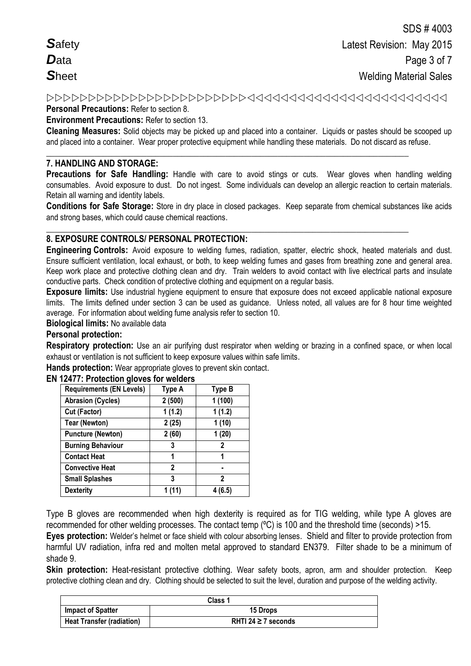*S*afety *D*ata *S*heet

#### **Personal Precautions:** Refer to section 8.

**Environment Precautions:** Refer to section 13.

**Cleaning Measures:** Solid objects may be picked up and placed into a container. Liquids or pastes should be scooped up and placed into a container. Wear proper protective equipment while handling these materials. Do not discard as refuse.

#### **\_\_\_\_\_\_\_\_\_\_\_\_\_\_\_\_\_\_\_\_\_\_\_\_\_\_\_\_\_\_\_\_\_\_\_\_\_\_\_\_\_\_\_\_\_\_\_\_\_\_\_\_\_\_\_\_\_\_\_\_\_\_\_\_\_\_\_\_\_\_\_\_\_\_\_\_\_\_\_\_\_\_\_ 7. HANDLING AND STORAGE:**

**Precautions for Safe Handling:** Handle with care to avoid stings or cuts. Wear gloves when handling welding consumables. Avoid exposure to dust. Do not ingest. Some individuals can develop an allergic reaction to certain materials. Retain all warning and identity labels.

**Conditions for Safe Storage:** Store in dry place in closed packages. Keep separate from chemical substances like acids and strong bases, which could cause chemical reactions.

**\_\_\_\_\_\_\_\_\_\_\_\_\_\_\_\_\_\_\_\_\_\_\_\_\_\_\_\_\_\_\_\_\_\_\_\_\_\_\_\_\_\_\_\_\_\_\_\_\_\_\_\_\_\_\_\_\_\_\_\_\_\_\_\_\_\_\_\_\_\_\_\_\_\_\_\_\_\_\_\_\_\_\_**

# **8. EXPOSURE CONTROLS/ PERSONAL PROTECTION:**

**Engineering Controls:** Avoid exposure to welding fumes, radiation, spatter, electric shock, heated materials and dust. Ensure sufficient ventilation, local exhaust, or both, to keep welding fumes and gases from breathing zone and general area. Keep work place and protective clothing clean and dry. Train welders to avoid contact with live electrical parts and insulate conductive parts. Check condition of protective clothing and equipment on a regular basis.

**Exposure limits:** Use industrial hygiene equipment to ensure that exposure does not exceed applicable national exposure limits. The limits defined under section 3 can be used as guidance. Unless noted, all values are for 8 hour time weighted average. For information about welding fume analysis refer to section 10.

#### **Biological limits:** No available data

# **Personal protection:**

**Respiratory protection:** Use an air purifying dust respirator when welding or brazing in a confined space, or when local exhaust or ventilation is not sufficient to keep exposure values within safe limits.

**Hands protection:** Wear appropriate gloves to prevent skin contact.

| Type A | <b>Type B</b> |
|--------|---------------|
| 2(500) | 1(100)        |
| 1(1.2) | 1(1.2)        |
| 2(25)  | 1(10)         |
| 2(60)  | 1(20)         |
| 3      | 2             |
| 1      | 1             |
| 2      |               |
| 3      | 2             |
| 1 (11) | 4 (6.5)       |
|        |               |

#### **EN 12477: Protection gloves for welders**

Type B gloves are recommended when high dexterity is required as for TIG welding, while type A gloves are recommended for other welding processes. The contact temp (ºC) is 100 and the threshold time (seconds) >15. **Eyes protection:** Welder's helmet or face shield with colour absorbing lenses. Shield and filter to provide protection from

harmful UV radiation, infra red and molten metal approved to standard EN379. Filter shade to be a minimum of shade 9.

**Skin protection:** Heat-resistant protective clothing. Wear safety boots, apron, arm and shoulder protection. Keep protective clothing clean and dry. Clothing should be selected to suit the level, duration and purpose of the welding activity.

| Class 1                          |                          |  |
|----------------------------------|--------------------------|--|
| <b>Impact of Spatter</b>         | <b>15 Drops</b>          |  |
| <b>Heat Transfer (radiation)</b> | RHTI 24 $\geq$ 7 seconds |  |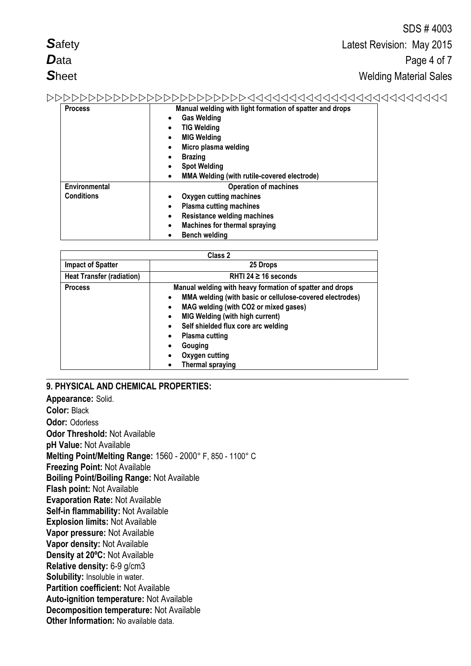|                |                                                                                                                                                                                                                                                                                                  | ODO # 4000 |  |
|----------------|--------------------------------------------------------------------------------------------------------------------------------------------------------------------------------------------------------------------------------------------------------------------------------------------------|------------|--|
| <b>Safety</b>  | Latest Revision: May 2015                                                                                                                                                                                                                                                                        |            |  |
| <b>D</b> ata   | Page 4 of 7                                                                                                                                                                                                                                                                                      |            |  |
| <b>Sheet</b>   | <b>Welding Material Sales</b>                                                                                                                                                                                                                                                                    |            |  |
| ママママママママ       | 11111111111111111111111111                                                                                                                                                                                                                                                                       |            |  |
| <b>Process</b> | Manual welding with light formation of spatter and drops<br><b>Gas Welding</b><br>٠<br><b>TIG Welding</b><br>$\bullet$<br><b>MIG Welding</b><br>$\bullet$<br>Micro plasma welding<br>$\bullet$<br><b>Brazing</b><br>٠<br><b>Spot Welding</b><br>٠<br>MMA Welding (with rutile-covered electrode) |            |  |

**Operation of machines**

 $CDO$   $#$   $4002$ 

|                                  | <b>Machines for thermal spraying</b>                                                                                                                                                                                                                                                                                                              |  |  |
|----------------------------------|---------------------------------------------------------------------------------------------------------------------------------------------------------------------------------------------------------------------------------------------------------------------------------------------------------------------------------------------------|--|--|
|                                  | <b>Bench welding</b>                                                                                                                                                                                                                                                                                                                              |  |  |
|                                  |                                                                                                                                                                                                                                                                                                                                                   |  |  |
|                                  | Class 2                                                                                                                                                                                                                                                                                                                                           |  |  |
| <b>Impact of Spatter</b>         | 25 Drops                                                                                                                                                                                                                                                                                                                                          |  |  |
| <b>Heat Transfer (radiation)</b> | RHTI 24 $\geq$ 16 seconds                                                                                                                                                                                                                                                                                                                         |  |  |
| <b>Process</b>                   | Manual welding with heavy formation of spatter and drops<br>MMA welding (with basic or cellulose-covered electrodes)<br>٠<br>MAG welding (with CO2 or mixed gases)<br>$\bullet$<br><b>MIG Welding (with high current)</b><br>Self shielded flux core arc welding<br><b>Plasma cutting</b><br>Gouging<br>Oxygen cutting<br><b>Thermal spraying</b> |  |  |

**\_\_\_\_\_\_\_\_\_\_\_\_\_\_\_\_\_\_\_\_\_\_\_\_\_\_\_\_\_\_\_\_\_\_\_\_\_\_\_\_\_\_\_\_\_\_\_\_\_\_\_\_\_\_\_\_\_\_\_\_\_\_\_\_\_\_\_\_\_\_\_\_\_\_\_\_\_\_\_\_\_\_\_**

 **Oxygen cutting machines Plasma cutting machines**

**Resistance welding machines**

#### **9. PHYSICAL AND CHEMICAL PROPERTIES:**

**Environmental Conditions**

**Appearance:** Solid. **Color:** Black **Odor:** Odorless **Odor Threshold:** Not Available **pH Value:** Not Available **Melting Point/Melting Range:** 1560 - 2000° F, 850 - 1100° C **Freezing Point:** Not Available **Boiling Point/Boiling Range:** Not Available **Flash point:** Not Available **Evaporation Rate:** Not Available **Self-in flammability:** Not Available **Explosion limits:** Not Available **Vapor pressure:** Not Available **Vapor density:** Not Available **Density at 20ºC:** Not Available **Relative density:** 6-9 g/cm3 **Solubility:** Insoluble in water. **Partition coefficient:** Not Available **Auto-ignition temperature:** Not Available **Decomposition temperature:** Not Available **Other Information:** No available data.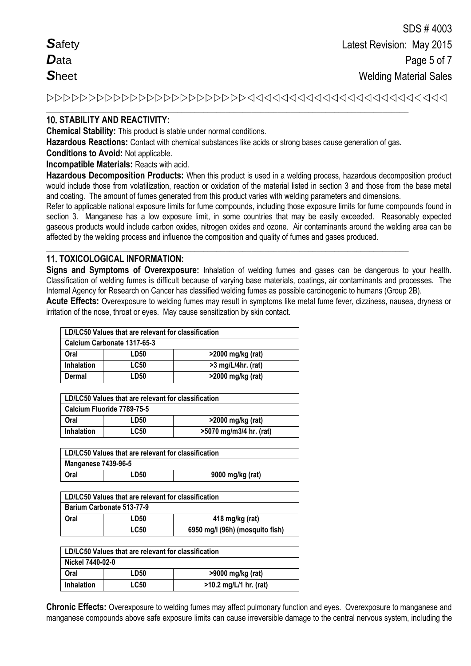| <b>Safety</b> |  |
|---------------|--|
| $\bm{D}$ ata  |  |
| Sheet         |  |

# 10. **STABILITY AND REACTIVITY:**

**Chemical Stability:** This product is stable under normal conditions.

**Hazardous Reactions:** Contact with chemical substances like acids or strong bases cause generation of gas.

**\_\_\_\_\_\_\_\_\_\_\_\_\_\_\_\_\_\_\_\_\_\_\_\_\_\_\_\_\_\_\_\_\_\_\_\_\_\_\_\_\_\_\_\_\_\_\_\_\_\_\_\_\_\_\_\_\_\_\_\_\_\_\_\_\_\_\_\_\_\_\_\_\_\_\_\_\_\_\_\_\_\_\_**

**\_\_\_\_\_\_\_\_\_\_\_\_\_\_\_\_\_\_\_\_\_\_\_\_\_\_\_\_\_\_\_\_\_\_\_\_\_\_\_\_\_\_\_\_\_\_\_\_\_\_\_\_\_\_\_\_\_\_\_\_\_\_\_\_\_\_\_\_\_\_\_\_\_\_\_\_\_\_\_\_\_\_\_**

**Conditions to Avoid:** Not applicable.

**Incompatible Materials:** Reacts with acid.

**Hazardous Decomposition Products:** When this product is used in a welding process, hazardous decomposition product would include those from volatilization, reaction or oxidation of the material listed in section 3 and those from the base metal and coating. The amount of fumes generated from this product varies with welding parameters and dimensions.

Refer to applicable national exposure limits for fume compounds, including those exposure limits for fume compounds found in section 3. Manganese has a low exposure limit, in some countries that may be easily exceeded. Reasonably expected gaseous products would include carbon oxides, nitrogen oxides and ozone. Air contaminants around the welding area can be affected by the welding process and influence the composition and quality of fumes and gases produced.

# 11. **TOXICOLOGICAL INFORMATION:**

**Signs and Symptoms of Overexposure:** Inhalation of welding fumes and gases can be dangerous to your health. Classification of welding fumes is difficult because of varying base materials, coatings, air contaminants and processes. The Internal Agency for Research on Cancer has classified welding fumes as possible carcinogenic to humans (Group 2B).

**Acute Effects:** Overexposure to welding fumes may result in symptoms like metal fume fever, dizziness, nausea, dryness or irritation of the nose, throat or eyes. May cause sensitization by skin contact.

| LD/LC50 Values that are relevant for classification |                  |                      |
|-----------------------------------------------------|------------------|----------------------|
| Calcium Carbonate 1317-65-3                         |                  |                      |
| Oral                                                | LD <sub>50</sub> | >2000 mg/kg (rat)    |
| <b>Inhalation</b>                                   | <b>LC50</b>      | $>3$ mg/L/4hr. (rat) |
| Dermal                                              | LD50             | >2000 mg/kg (rat)    |

| LD/LC50 Values that are relevant for classification |             |                         |
|-----------------------------------------------------|-------------|-------------------------|
| Calcium Fluoride 7789-75-5                          |             |                         |
| Oral                                                | LD50        | >2000 mg/kg (rat)       |
| <b>Inhalation</b>                                   | <b>LC50</b> | >5070 mg/m3/4 hr. (rat) |

| LD/LC50 Values that are relevant for classification |      |                  |
|-----------------------------------------------------|------|------------------|
| <b>Manganese 7439-96-5</b>                          |      |                  |
| Oral                                                | LD50 | 9000 mg/kg (rat) |

| LD/LC50 Values that are relevant for classification |             |                                 |
|-----------------------------------------------------|-------------|---------------------------------|
| Barium Carbonate 513-77-9                           |             |                                 |
| Oral                                                | LD50        | 418 mg/kg (rat)                 |
|                                                     | <b>LC50</b> | 6950 mg/l (96h) (mosquito fish) |

| LD/LC50 Values that are relevant for classification |             |                          |
|-----------------------------------------------------|-------------|--------------------------|
| Nickel 7440-02-0                                    |             |                          |
| Oral                                                | LD50        | >9000 mg/kg (rat)        |
| <b>Inhalation</b>                                   | <b>LC50</b> | $>10.2$ mg/L/1 hr. (rat) |

**Chronic Effects:** Overexposure to welding fumes may affect pulmonary function and eyes. Overexposure to manganese and manganese compounds above safe exposure limits can cause irreversible damage to the central nervous system, including the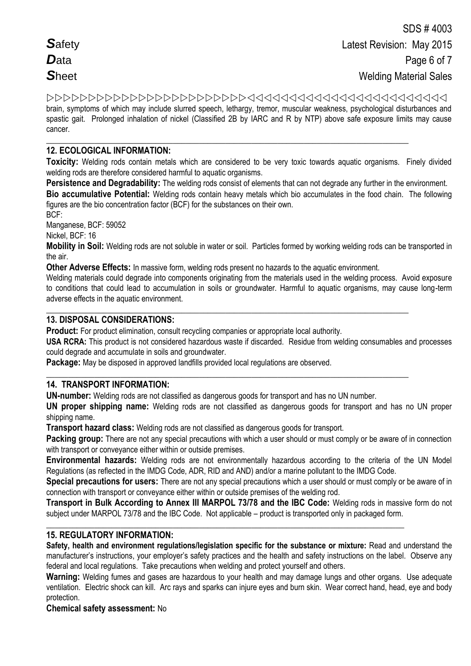| <b>Safety</b> |  |
|---------------|--|
| $\bm{D}$ ata  |  |
| <b>Sheet</b>  |  |

 brain, symptoms of which may include slurred speech, lethargy, tremor, muscular weakness, psychological disturbances and spastic gait. Prolonged inhalation of nickel (Classified 2B by IARC and R by NTP) above safe exposure limits may cause cancer.

#### **\_\_\_\_\_\_\_\_\_\_\_\_\_\_\_\_\_\_\_\_\_\_\_\_\_\_\_\_\_\_\_\_\_\_\_\_\_\_\_\_\_\_\_\_\_\_\_\_\_\_\_\_\_\_\_\_\_\_\_\_\_\_\_\_\_\_\_\_\_\_\_\_\_\_\_\_\_\_\_\_\_\_\_ 12. ECOLOGICAL INFORMATION:**

**Toxicity:** Welding rods contain metals which are considered to be very toxic towards aquatic organisms. Finely divided welding rods are therefore considered harmful to aquatic organisms.

**Persistence and Degradability:** The welding rods consist of elements that can not degrade any further in the environment.

**Bio accumulative Potential:** Welding rods contain heavy metals which bio accumulates in the food chain. The following figures are the bio concentration factor (BCF) for the substances on their own.

BCF:

Manganese, BCF: 59052

Nickel, BCF: 16

**Mobility in Soil:** Welding rods are not soluble in water or soil. Particles formed by working welding rods can be transported in the air.

**Other Adverse Effects:** In massive form, welding rods present no hazards to the aquatic environment.

**\_\_\_\_\_\_\_\_\_\_\_\_\_\_\_\_\_\_\_\_\_\_\_\_\_\_\_\_\_\_\_\_\_\_\_\_\_\_\_\_\_\_\_\_\_\_\_\_\_\_\_\_\_\_\_\_\_\_\_\_\_\_\_\_\_\_\_\_\_\_\_\_\_\_\_\_\_\_\_\_\_\_\_**

**\_\_\_\_\_\_\_\_\_\_\_\_\_\_\_\_\_\_\_\_\_\_\_\_\_\_\_\_\_\_\_\_\_\_\_\_\_\_\_\_\_\_\_\_\_\_\_\_\_\_\_\_\_\_\_\_\_\_\_\_\_\_\_\_\_\_\_\_\_\_\_\_\_\_\_\_\_\_\_\_\_\_\_**

Welding materials could degrade into components originating from the materials used in the welding process. Avoid exposure to conditions that could lead to accumulation in soils or groundwater. Harmful to aquatic organisms, may cause long-term adverse effects in the aquatic environment.

# **13. DISPOSAL CONSIDERATIONS:**

**Product:** For product elimination, consult recycling companies or appropriate local authority.

**USA RCRA:** This product is not considered hazardous waste if discarded. Residue from welding consumables and processes could degrade and accumulate in soils and groundwater.

**Package:** May be disposed in approved landfills provided local regulations are observed.

## **14. TRANSPORT INFORMATION:**

**UN-number:** Welding rods are not classified as dangerous goods for transport and has no UN number.

**UN proper shipping name:** Welding rods are not classified as dangerous goods for transport and has no UN proper shipping name.

**Transport hazard class:** Welding rods are not classified as dangerous goods for transport.

**Packing group:** There are not any special precautions with which a user should or must comply or be aware of in connection with transport or conveyance either within or outside premises.

**Environmental hazards:** Welding rods are not environmentally hazardous according to the criteria of the UN Model Regulations (as reflected in the IMDG Code, ADR, RID and AND) and/or a marine pollutant to the IMDG Code.

**Special precautions for users:** There are not any special precautions which a user should or must comply or be aware of in connection with transport or conveyance either within or outside premises of the welding rod.

**Transport in Bulk According to Annex III MARPOL 73/78 and the IBC Code:** Welding rods in massive form do not subject under MARPOL 73/78 and the IBC Code. Not applicable – product is transported only in packaged form.

**\_\_\_\_\_\_\_\_\_\_\_\_\_\_\_\_\_\_\_\_\_\_\_\_\_\_\_\_\_\_\_\_\_\_\_\_\_\_\_\_\_\_\_\_\_\_\_\_\_\_\_\_\_\_\_\_\_\_\_\_\_\_\_\_\_\_\_\_\_\_\_\_\_\_\_\_\_\_\_\_\_\_**

# **15. REGULATORY INFORMATION:**

**Safety, health and environment regulations/legislation specific for the substance or mixture:** Read and understand the manufacturer's instructions, your employer's safety practices and the health and safety instructions on the label. Observe any federal and local regulations. Take precautions when welding and protect yourself and others.

**Warning:** Welding fumes and gases are hazardous to your health and may damage lungs and other organs. Use adequate ventilation.Electric shock can kill. Arc rays and sparks can injure eyes and burn skin. Wear correct hand, head, eye and body protection.

**Chemical safety assessment:** No